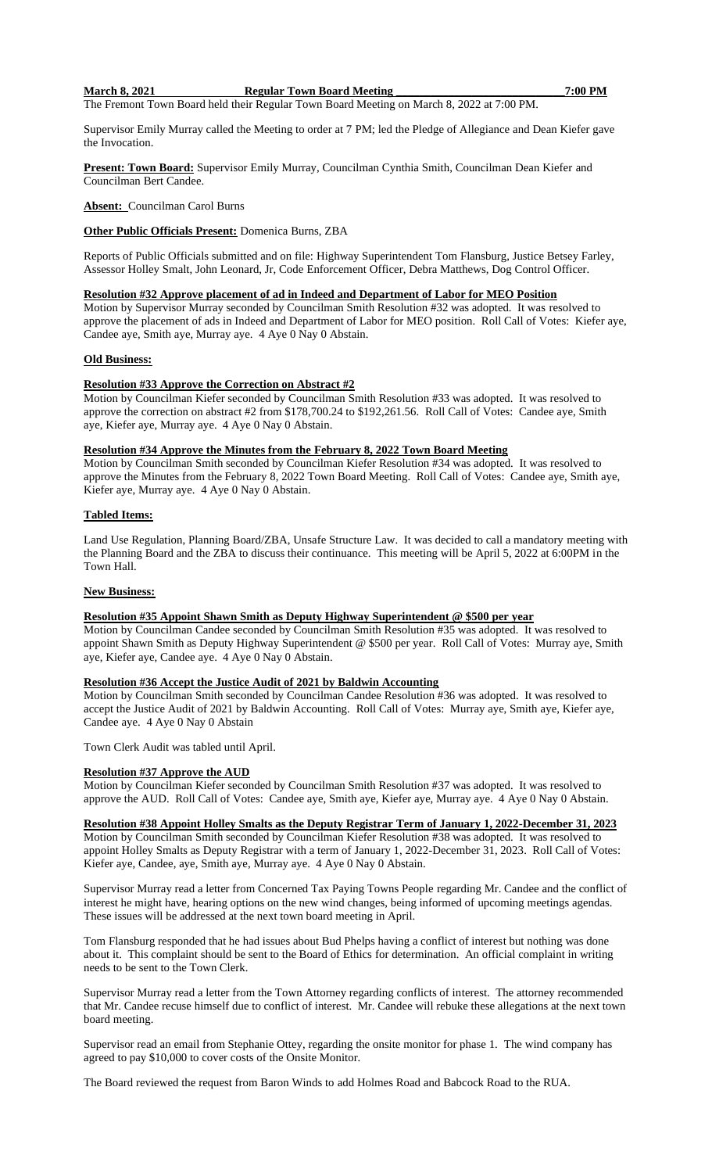#### **March 8, 2021 Regular Town Board Meeting**   $\sim$  7:00 PM

The Fremont Town Board held their Regular Town Board Meeting on March 8, 2022 at 7:00 PM.

Supervisor Emily Murray called the Meeting to order at 7 PM; led the Pledge of Allegiance and Dean Kiefer gave the Invocation.

**Present: Town Board:** Supervisor Emily Murray, Councilman Cynthia Smith, Councilman Dean Kiefer and Councilman Bert Candee.

**Absent:** Councilman Carol Burns

### **Other Public Officials Present:** Domenica Burns, ZBA

Reports of Public Officials submitted and on file: Highway Superintendent Tom Flansburg, Justice Betsey Farley, Assessor Holley Smalt, John Leonard, Jr, Code Enforcement Officer, Debra Matthews, Dog Control Officer.

# **Resolution #32 Approve placement of ad in Indeed and Department of Labor for MEO Position**

Motion by Supervisor Murray seconded by Councilman Smith Resolution #32 was adopted. It was resolved to approve the placement of ads in Indeed and Department of Labor for MEO position. Roll Call of Votes: Kiefer aye, Candee aye, Smith aye, Murray aye. 4 Aye 0 Nay 0 Abstain.

## **Old Business:**

## **Resolution #33 Approve the Correction on Abstract #2**

Motion by Councilman Kiefer seconded by Councilman Smith Resolution #33 was adopted. It was resolved to approve the correction on abstract #2 from \$178,700.24 to \$192,261.56. Roll Call of Votes: Candee aye, Smith aye, Kiefer aye, Murray aye. 4 Aye 0 Nay 0 Abstain.

### **Resolution #34 Approve the Minutes from the February 8, 2022 Town Board Meeting**

Motion by Councilman Smith seconded by Councilman Kiefer Resolution #34 was adopted. It was resolved to approve the Minutes from the February 8, 2022 Town Board Meeting. Roll Call of Votes: Candee aye, Smith aye, Kiefer aye, Murray aye. 4 Aye 0 Nay 0 Abstain.

## **Tabled Items:**

Land Use Regulation, Planning Board/ZBA, Unsafe Structure Law. It was decided to call a mandatory meeting with the Planning Board and the ZBA to discuss their continuance. This meeting will be April 5, 2022 at 6:00PM in the Town Hall.

#### **New Business:**

#### **Resolution #35 Appoint Shawn Smith as Deputy Highway Superintendent @ \$500 per year**

Motion by Councilman Candee seconded by Councilman Smith Resolution #35 was adopted. It was resolved to appoint Shawn Smith as Deputy Highway Superintendent @ \$500 per year. Roll Call of Votes: Murray aye, Smith aye, Kiefer aye, Candee aye. 4 Aye 0 Nay 0 Abstain.

## **Resolution #36 Accept the Justice Audit of 2021 by Baldwin Accounting**

Motion by Councilman Smith seconded by Councilman Candee Resolution #36 was adopted. It was resolved to accept the Justice Audit of 2021 by Baldwin Accounting. Roll Call of Votes: Murray aye, Smith aye, Kiefer aye, Candee aye. 4 Aye 0 Nay 0 Abstain

Town Clerk Audit was tabled until April.

## **Resolution #37 Approve the AUD**

Motion by Councilman Kiefer seconded by Councilman Smith Resolution #37 was adopted. It was resolved to approve the AUD. Roll Call of Votes: Candee aye, Smith aye, Kiefer aye, Murray aye. 4 Aye 0 Nay 0 Abstain.

# **Resolution #38 Appoint Holley Smalts as the Deputy Registrar Term of January 1, 2022-December 31, 2023**

Motion by Councilman Smith seconded by Councilman Kiefer Resolution #38 was adopted. It was resolved to appoint Holley Smalts as Deputy Registrar with a term of January 1, 2022-December 31, 2023. Roll Call of Votes: Kiefer aye, Candee, aye, Smith aye, Murray aye. 4 Aye 0 Nay 0 Abstain.

Supervisor Murray read a letter from Concerned Tax Paying Towns People regarding Mr. Candee and the conflict of interest he might have, hearing options on the new wind changes, being informed of upcoming meetings agendas. These issues will be addressed at the next town board meeting in April.

Tom Flansburg responded that he had issues about Bud Phelps having a conflict of interest but nothing was done about it. This complaint should be sent to the Board of Ethics for determination. An official complaint in writing needs to be sent to the Town Clerk.

Supervisor Murray read a letter from the Town Attorney regarding conflicts of interest. The attorney recommended that Mr. Candee recuse himself due to conflict of interest. Mr. Candee will rebuke these allegations at the next town board meeting.

Supervisor read an email from Stephanie Ottey, regarding the onsite monitor for phase 1. The wind company has agreed to pay \$10,000 to cover costs of the Onsite Monitor.

The Board reviewed the request from Baron Winds to add Holmes Road and Babcock Road to the RUA.